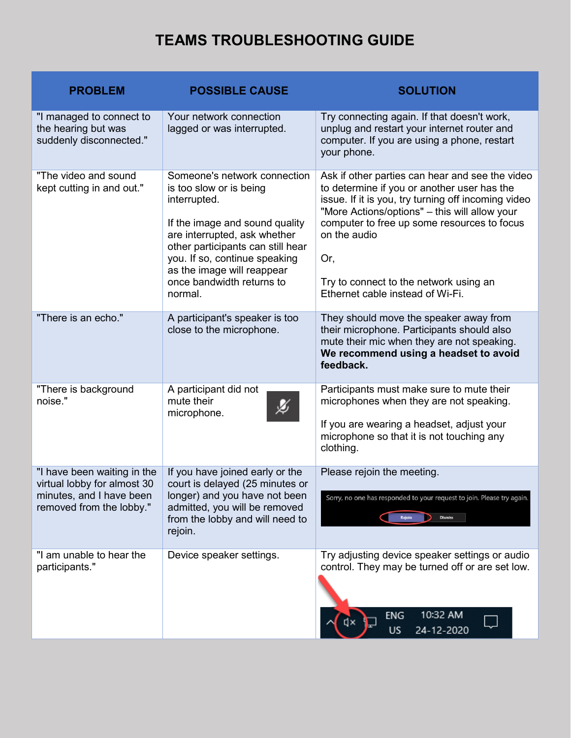## **TEAMS TROUBLESHOOTING GUIDE**

| <b>PROBLEM</b>                                                                                                     | <b>POSSIBLE CAUSE</b>                                                                                                                                                                                                                                                                 | <b>SOLUTION</b>                                                                                                                                                                                                                                                                                                                                            |
|--------------------------------------------------------------------------------------------------------------------|---------------------------------------------------------------------------------------------------------------------------------------------------------------------------------------------------------------------------------------------------------------------------------------|------------------------------------------------------------------------------------------------------------------------------------------------------------------------------------------------------------------------------------------------------------------------------------------------------------------------------------------------------------|
| "I managed to connect to<br>the hearing but was<br>suddenly disconnected."                                         | Your network connection<br>lagged or was interrupted.                                                                                                                                                                                                                                 | Try connecting again. If that doesn't work,<br>unplug and restart your internet router and<br>computer. If you are using a phone, restart<br>your phone.                                                                                                                                                                                                   |
| "The video and sound<br>kept cutting in and out."                                                                  | Someone's network connection<br>is too slow or is being<br>interrupted.<br>If the image and sound quality<br>are interrupted, ask whether<br>other participants can still hear<br>you. If so, continue speaking<br>as the image will reappear<br>once bandwidth returns to<br>normal. | Ask if other parties can hear and see the video<br>to determine if you or another user has the<br>issue. If it is you, try turning off incoming video<br>"More Actions/options" - this will allow your<br>computer to free up some resources to focus<br>on the audio<br>Or,<br>Try to connect to the network using an<br>Ethernet cable instead of Wi-Fi. |
| "There is an echo."                                                                                                | A participant's speaker is too<br>close to the microphone.                                                                                                                                                                                                                            | They should move the speaker away from<br>their microphone. Participants should also<br>mute their mic when they are not speaking.<br>We recommend using a headset to avoid<br>feedback.                                                                                                                                                                   |
| "There is background<br>noise."                                                                                    | A participant did not<br>mute their<br>microphone.                                                                                                                                                                                                                                    | Participants must make sure to mute their<br>microphones when they are not speaking.<br>If you are wearing a headset, adjust your<br>microphone so that it is not touching any<br>clothing.                                                                                                                                                                |
| "I have been waiting in the<br>virtual lobby for almost 30<br>minutes, and I have been<br>removed from the lobby." | If you have joined early or the<br>court is delayed (25 minutes or<br>longer) and you have not been<br>admitted, you will be removed<br>from the lobby and will need to<br>rejoin.                                                                                                    | Please rejoin the meeting.<br>Sorry, no one has responded to your request to join. Please try again.<br><b>Dismiss</b>                                                                                                                                                                                                                                     |
| "I am unable to hear the<br>participants."                                                                         | Device speaker settings.                                                                                                                                                                                                                                                              | Try adjusting device speaker settings or audio<br>control. They may be turned off or are set low.<br>10:32 AM<br>ENG<br>24-12-2020<br>US                                                                                                                                                                                                                   |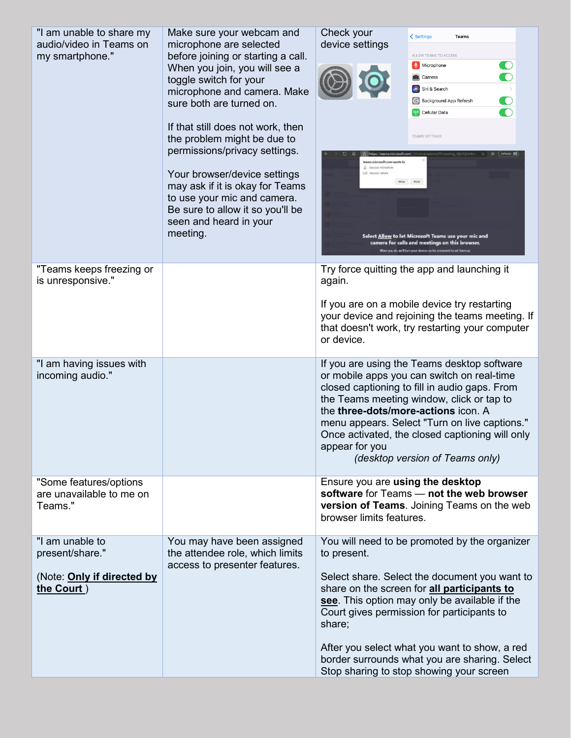| "I am unable to share my<br>audio/video in Teams on<br>my smartphone."         | Make sure your webcam and<br>microphone are selected<br>before joining or starting a call.<br>When you join, you will see a<br>toggle switch for your<br>microphone and camera. Make<br>sure both are turned on.<br>If that still does not work, then<br>the problem might be due to<br>permissions/privacy settings.<br>Your browser/device settings<br>may ask if it is okay for Teams<br>to use your mic and camera.<br>Be sure to allow it so you'll be<br>seen and heard in your<br>meeting. | Check your<br>< Settings<br>Teams<br>device settings<br>ALLOW TEAMS TO ACCESS<br>$\bigcirc$<br>$\mathbf{Q}$ Microphone<br>$\bigcirc$<br>Camera<br>Siri & Search<br>$\bullet$<br><b>Background App Refresh</b><br>$\bullet$<br>(p) Cellular Data<br><b>TEAMS SETTINGS</b><br>teams.microsoft.com wants to<br>Use your microphone<br>C31 Use your camera<br>Select Allow to let Microsoft Teams use your mic and<br>camera for calls and meetings on this browser.<br>When you do, we'll turn your devices on for a moment to set them u |
|--------------------------------------------------------------------------------|---------------------------------------------------------------------------------------------------------------------------------------------------------------------------------------------------------------------------------------------------------------------------------------------------------------------------------------------------------------------------------------------------------------------------------------------------------------------------------------------------|----------------------------------------------------------------------------------------------------------------------------------------------------------------------------------------------------------------------------------------------------------------------------------------------------------------------------------------------------------------------------------------------------------------------------------------------------------------------------------------------------------------------------------------|
| "Teams keeps freezing or<br>is unresponsive."                                  |                                                                                                                                                                                                                                                                                                                                                                                                                                                                                                   | Try force quitting the app and launching it<br>again.<br>If you are on a mobile device try restarting<br>your device and rejoining the teams meeting. If<br>that doesn't work, try restarting your computer<br>or device.                                                                                                                                                                                                                                                                                                              |
| "I am having issues with<br>incoming audio."                                   |                                                                                                                                                                                                                                                                                                                                                                                                                                                                                                   | If you are using the Teams desktop software<br>or mobile apps you can switch on real-time<br>closed captioning to fill in audio gaps. From<br>the Teams meeting window, click or tap to<br>the three-dots/more-actions icon. A<br>menu appears. Select "Turn on live captions."<br>Once activated, the closed captioning will only<br>appear for you<br>(desktop version of Teams only)                                                                                                                                                |
| "Some features/options<br>are unavailable to me on<br>Teams."                  |                                                                                                                                                                                                                                                                                                                                                                                                                                                                                                   | Ensure you are using the desktop<br>software for Teams - not the web browser<br>version of Teams. Joining Teams on the web<br>browser limits features.                                                                                                                                                                                                                                                                                                                                                                                 |
| "I am unable to<br>present/share."<br>(Note: Only if directed by<br>the Court) | You may have been assigned<br>the attendee role, which limits<br>access to presenter features.                                                                                                                                                                                                                                                                                                                                                                                                    | You will need to be promoted by the organizer<br>to present.<br>Select share. Select the document you want to<br>share on the screen for all participants to<br>see. This option may only be available if the<br>Court gives permission for participants to<br>share;<br>After you select what you want to show, a red<br>border surrounds what you are sharing. Select<br>Stop sharing to stop showing your screen                                                                                                                    |